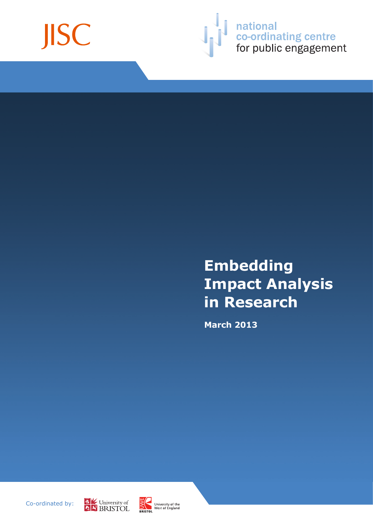



**Solution**<br> **Solution**<br> **Solution**<br> **Solution**<br>
for public engagement

# **Embedding Impact Analysis in Research**

**March 2013**

Co-ordinated by:



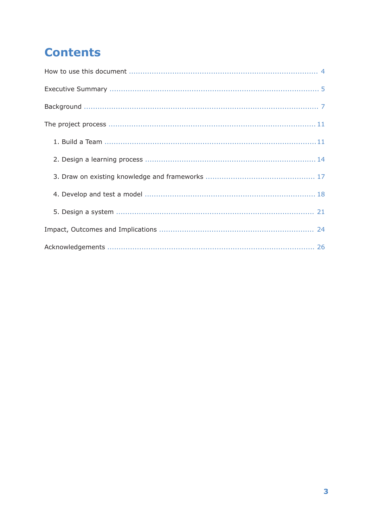## **Contents**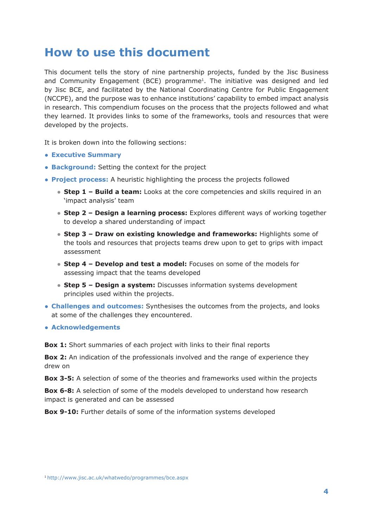## **How to use this document**

This document tells the story of nine partnership projects, funded by the Jisc Business and Community Engagement (BCE) programme<sup>1</sup>. The initiative was designed and led by Jisc BCE, and facilitated by the National Coordinating Centre for Public Engagement (NCCPE), and the purpose was to enhance institutions' capability to embed impact analysis in research. This compendium focuses on the process that the projects followed and what they learned. It provides links to some of the frameworks, tools and resources that were developed by the projects.

It is broken down into the following sections:

- **Executive Summary**
- **Background:** Setting the context for the project
- **Project process:** A heuristic highlighting the process the projects followed
	- **Step 1 Build a team:** Looks at the core competencies and skills required in an 'impact analysis' team
	- **Step 2 Design a learning process:** Explores different ways of working together to develop a shared understanding of impact
	- **Step 3 Draw on existing knowledge and frameworks:** Highlights some of the tools and resources that projects teams drew upon to get to grips with impact assessment
	- **Step 4 Develop and test a model:** Focuses on some of the models for assessing impact that the teams developed
	- **Step 5 Design a system:** Discusses information systems development principles used within the projects.
- **Challenges and outcomes:** Synthesises the outcomes from the projects, and looks at some of the challenges they encountered.
- **Acknowledgements**

**Box 1:** Short summaries of each project with links to their final reports

**Box 2:** An indication of the professionals involved and the range of experience they drew on

**Box 3-5:** A selection of some of the theories and frameworks used within the projects

**Box 6-8:** A selection of some of the models developed to understand how research impact is generated and can be assessed

**Box 9-10:** Further details of some of the information systems developed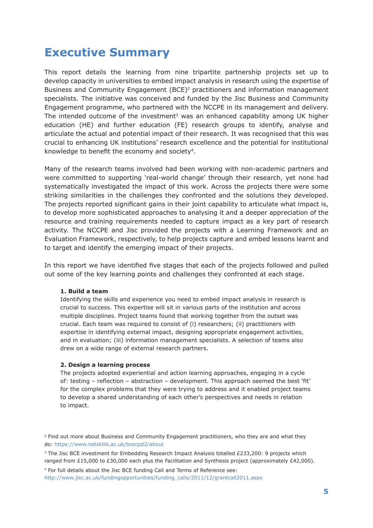## **Executive Summary**

This report details the learning from nine tripartite partnership projects set up to develop capacity in universities to embed impact analysis in research using the expertise of Business and Community Engagement (BCE)<sup>2</sup> practitioners and information management specialists. The initiative was conceived and funded by the Jisc Business and Community Engagement programme, who partnered with the NCCPE in its management and delivery. The intended outcome of the investment $3$  was an enhanced capability among UK higher education (HE) and further education (FE) research groups to identify, analyse and articulate the actual and potential impact of their research. It was recognised that this was crucial to enhancing UK institutions' research excellence and the potential for institutional knowledge to benefit the economy and society4.

Many of the research teams involved had been working with non-academic partners and were committed to supporting 'real-world change' through their research, yet none had systematically investigated the impact of this work. Across the projects there were some striking similarities in the challenges they confronted and the solutions they developed. The projects reported significant gains in their joint capability to articulate what impact is, to develop more sophisticated approaches to analysing it and a deeper appreciation of the resource and training requirements needed to capture impact as a key part of research activity. The NCCPE and Jisc provided the projects with a Learning Framework and an Evaluation Framework, respectively, to help projects capture and embed lessons learnt and to target and identify the emerging impact of their projects.

In this report we have identified five stages that each of the projects followed and pulled out some of the key learning points and challenges they confronted at each stage.

#### **1. Build a team**

Identifying the skills and experience you need to embed impact analysis in research is crucial to success. This expertise will sit in various parts of the institution and across multiple disciplines. Project teams found that working together from the outset was crucial. Each team was required to consist of (i) researchers; (ii) practitioners with expertise in identifying external impact, designing appropriate engagement activities, and in evaluation; (iii) information management specialists. A selection of teams also drew on a wide range of external research partners.

#### **2. Design a learning process**

The projects adopted experiential and action learning approaches, engaging in a cycle of: testing – reflection – abstraction – development. This approach seemed the best 'fit' for the complex problems that they were trying to address and it enabled project teams to develop a shared understanding of each other's perspectives and needs in relation to impact.

4 For full details about the Jisc BCE funding Call and Terms of Reference see: http://www.jisc.ac.uk/fundingopportunities/funding\_calls/2011/12/grantcall2011.aspx

<sup>&</sup>lt;sup>2</sup> Find out more about Business and Community Engagement practitioners, who they are and what they do: https://www.netskills.ac.uk/bcecpd2/about

<sup>&</sup>lt;sup>3</sup> The Jisc BCE investment for Embedding Research Impact Analysis totalled £233,200: 9 projects which ranged from £15,000 to £30,000 each plus the Facilitation and Synthesis project (approximately £42,000).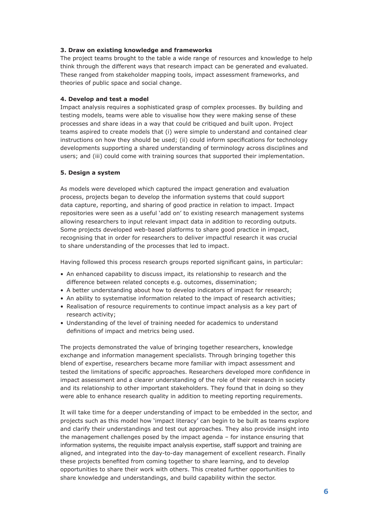#### **3. Draw on existing knowledge and frameworks**

The project teams brought to the table a wide range of resources and knowledge to help think through the different ways that research impact can be generated and evaluated. These ranged from stakeholder mapping tools, impact assessment frameworks, and theories of public space and social change.

#### **4. Develop and test a model**

Impact analysis requires a sophisticated grasp of complex processes. By building and testing models, teams were able to visualise how they were making sense of these processes and share ideas in a way that could be critiqued and built upon. Project teams aspired to create models that (i) were simple to understand and contained clear instructions on how they should be used; (ii) could inform specifications for technology developments supporting a shared understanding of terminology across disciplines and users; and (iii) could come with training sources that supported their implementation.

#### **5. Design a system**

As models were developed which captured the impact generation and evaluation process, projects began to develop the information systems that could support data capture, reporting, and sharing of good practice in relation to impact. Impact repositories were seen as a useful 'add on' to existing research management systems allowing researchers to input relevant impact data in addition to recording outputs. Some projects developed web-based platforms to share good practice in impact, recognising that in order for researchers to deliver impactful research it was crucial to share understanding of the processes that led to impact.

Having followed this process research groups reported significant gains, in particular:

- An enhanced capability to discuss impact, its relationship to research and the difference between related concepts e.g. outcomes, dissemination;
- A better understanding about how to develop indicators of impact for research;
- An ability to systematise information related to the impact of research activities;
- Realisation of resource requirements to continue impact analysis as a key part of research activity;
- Understanding of the level of training needed for academics to understand definitions of impact and metrics being used.

The projects demonstrated the value of bringing together researchers, knowledge exchange and information management specialists. Through bringing together this blend of expertise, researchers became more familiar with impact assessment and tested the limitations of specific approaches. Researchers developed more confidence in impact assessment and a clearer understanding of the role of their research in society and its relationship to other important stakeholders. They found that in doing so they were able to enhance research quality in addition to meeting reporting requirements.

It will take time for a deeper understanding of impact to be embedded in the sector, and projects such as this model how 'impact literacy' can begin to be built as teams explore and clarify their understandings and test out approaches. They also provide insight into the management challenges posed by the impact agenda – for instance ensuring that information systems, the requisite impact analysis expertise, staff support and training are aligned, and integrated into the day-to-day management of excellent research. Finally these projects benefited from coming together to share learning, and to develop opportunities to share their work with others. This created further opportunities to share knowledge and understandings, and build capability within the sector.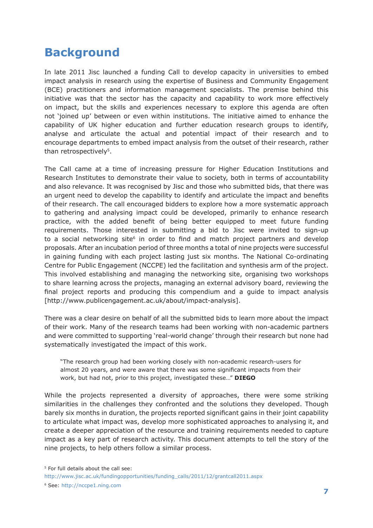## **Background**

In late 2011 Jisc launched a funding Call to develop capacity in universities to embed impact analysis in research using the expertise of Business and Community Engagement (BCE) practitioners and information management specialists. The premise behind this initiative was that the sector has the capacity and capability to work more effectively on impact, but the skills and experiences necessary to explore this agenda are often not 'joined up' between or even within institutions. The initiative aimed to enhance the capability of UK higher education and further education research groups to identify, analyse and articulate the actual and potential impact of their research and to encourage departments to embed impact analysis from the outset of their research, rather than retrospectively<sup>5</sup>.

The Call came at a time of increasing pressure for Higher Education Institutions and Research Institutes to demonstrate their value to society, both in terms of accountability and also relevance. It was recognised by Jisc and those who submitted bids, that there was an urgent need to develop the capability to identify and articulate the impact and benefits of their research. The call encouraged bidders to explore how a more systematic approach to gathering and analysing impact could be developed, primarily to enhance research practice, with the added benefit of being better equipped to meet future funding requirements. Those interested in submitting a bid to Jisc were invited to sign-up to a social networking site<sup>6</sup> in order to find and match project partners and develop proposals. After an incubation period of three months a total of nine projects were successful in gaining funding with each project lasting just six months. The National Co-ordinating Centre for Public Engagement (NCCPE) led the facilitation and synthesis arm of the project. This involved establishing and managing the networking site, organising two workshops to share learning across the projects, managing an external advisory board, reviewing the final project reports and producing this compendium and a guide to impact analysis [http://www.publicengagement.ac.uk/about/impact-analysis].

There was a clear desire on behalf of all the submitted bids to learn more about the impact of their work. Many of the research teams had been working with non-academic partners and were committed to supporting 'real-world change' through their research but none had systematically investigated the impact of this work.

"The research group had been working closely with non-academic research-users for almost 20 years, and were aware that there was some significant impacts from their work, but had not, prior to this project, investigated these…" **DIEGO**

While the projects represented a diversity of approaches, there were some striking similarities in the challenges they confronted and the solutions they developed. Though barely six months in duration, the projects reported significant gains in their joint capability to articulate what impact was, develop more sophisticated approaches to analysing it, and create a deeper appreciation of the resource and training requirements needed to capture impact as a key part of research activity. This document attempts to tell the story of the nine projects, to help others follow a similar process.

<sup>5</sup> For full details about the call see:

http://www.jisc.ac.uk/fundingopportunities/funding\_calls/2011/12/grantcall2011.aspx

<sup>6</sup> See: http://nccpe1.ning.com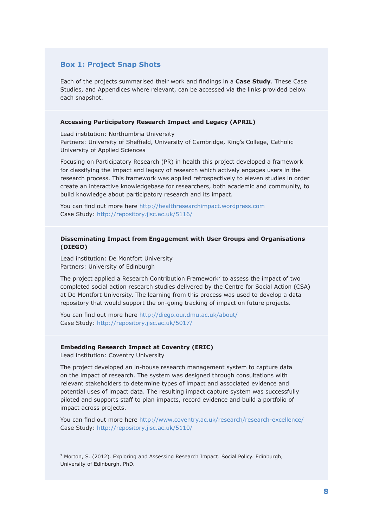### **Box 1: Project Snap Shots**

Each of the projects summarised their work and findings in a **Case Study**. These Case Studies, and Appendices where relevant, can be accessed via the links provided below each snapshot.

#### **Accessing Participatory Research Impact and Legacy (APRIL)**

Lead institution: Northumbria University Partners: University of Sheffield, University of Cambridge, King's College, Catholic University of Applied Sciences

Focusing on Participatory Research (PR) in health this project developed a framework for classifying the impact and legacy of research which actively engages users in the research process. This framework was applied retrospectively to eleven studies in order create an interactive knowledgebase for researchers, both academic and community, to build knowledge about participatory research and its impact.

You can find out more here http://healthresearchimpact.wordpress.com Case Study: http://repository.jisc.ac.uk/5116/

#### **Disseminating Impact from Engagement with User Groups and Organisations (DIEGO)**

Lead institution: De Montfort University Partners: University of Edinburgh

The project applied a Research Contribution Framework<sup>7</sup> to assess the impact of two completed social action research studies delivered by the Centre for Social Action (CSA) at De Montfort University. The learning from this process was used to develop a data repository that would support the on-going tracking of impact on future projects.

You can find out more here http://diego.our.dmu.ac.uk/about/ Case Study: http://repository.jisc.ac.uk/5017/

#### **Embedding Research Impact at Coventry (ERIC)**

Lead institution: Coventry University

The project developed an in-house research management system to capture data on the impact of research. The system was designed through consultations with relevant stakeholders to determine types of impact and associated evidence and potential uses of impact data. The resulting impact capture system was successfully piloted and supports staff to plan impacts, record evidence and build a portfolio of impact across projects.

You can find out more here http://www.coventry.ac.uk/research/research-excellence/ Case Study: http://repository.jisc.ac.uk/5110/

7 Morton, S. (2012). Exploring and Assessing Research Impact. Social Policy. Edinburgh, University of Edinburgh. PhD.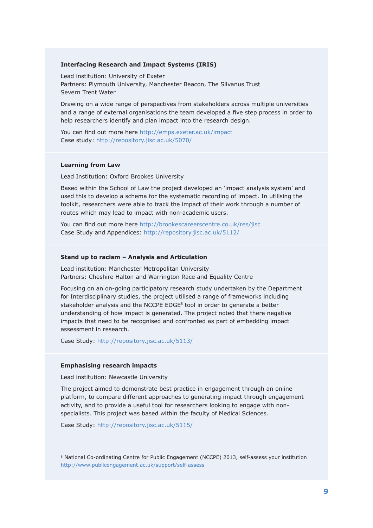#### **Interfacing Research and Impact Systems (IRIS)**

Lead institution: University of Exeter Partners: Plymouth University, Manchester Beacon, The Silvanus Trust Severn Trent Water

Drawing on a wide range of perspectives from stakeholders across multiple universities and a range of external organisations the team developed a five step process in order to help researchers identify and plan impact into the research design.

You can find out more here http://emps.exeter.ac.uk/impact Case study: http://repository.jisc.ac.uk/5070/

#### **Learning from Law**

Lead Institution: Oxford Brookes University

Based within the School of Law the project developed an 'impact analysis system' and used this to develop a schema for the systematic recording of impact. In utilising the toolkit, researchers were able to track the impact of their work through a number of routes which may lead to impact with non-academic users.

You can find out more here http://brookescareerscentre.co.uk/res/jisc Case Study and Appendices: http://repository.jisc.ac.uk/5112/

#### **Stand up to racism – Analysis and Articulation**

Lead institution: Manchester Metropolitan University Partners: Cheshire Halton and Warrington Race and Equality Centre

Focusing on an on-going participatory research study undertaken by the Department for Interdisciplinary studies, the project utilised a range of frameworks including stakeholder analysis and the NCCPE EDGE<sup>8</sup> tool in order to generate a better understanding of how impact is generated. The project noted that there negative impacts that need to be recognised and confronted as part of embedding impact assessment in research.

Case Study: http://repository.jisc.ac.uk/5113/

#### **Emphasising research impacts**

Lead institution: Newcastle University

The project aimed to demonstrate best practice in engagement through an online platform, to compare different approaches to generating impact through engagement activity, and to provide a useful tool for researchers looking to engage with nonspecialists. This project was based within the faculty of Medical Sciences.

Case Study: http://repository.jisc.ac.uk/5115/

8 National Co-ordinating Centre for Public Engagement (NCCPE) 2013, self-assess your institution http://www.publicengagement.ac.uk/support/self-assess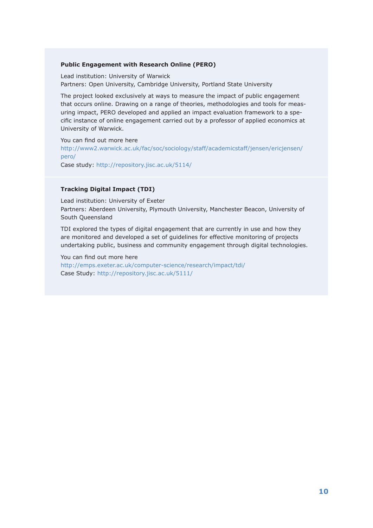#### **Public Engagement with Research Online (PERO)**

Lead institution: University of Warwick Partners: Open University, Cambridge University, Portland State University

The project looked exclusively at ways to measure the impact of public engagement that occurs online. Drawing on a range of theories, methodologies and tools for measuring impact, PERO developed and applied an impact evaluation framework to a specific instance of online engagement carried out by a professor of applied economics at University of Warwick.

You can find out more here http://www2.warwick.ac.uk/fac/soc/sociology/staff/academicstaff/jensen/ericjensen/ pero/ Case study: http://repository.jisc.ac.uk/5114/

### **Tracking Digital Impact (TDI)**

Lead institution: University of Exeter Partners: Aberdeen University, Plymouth University, Manchester Beacon, University of South Queensland

TDI explored the types of digital engagement that are currently in use and how they are monitored and developed a set of guidelines for effective monitoring of projects undertaking public, business and community engagement through digital technologies.

You can find out more here http://emps.exeter.ac.uk/computer-science/research/impact/tdi/ Case Study: http://repository.jisc.ac.uk/5111/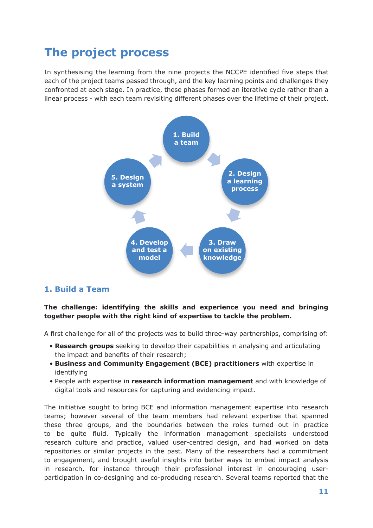## **The project process**

In synthesising the learning from the nine projects the NCCPE identified five steps that each of the project teams passed through, and the key learning points and challenges they confronted at each stage. In practice, these phases formed an iterative cycle rather than a linear process - with each team revisiting different phases over the lifetime of their project.



## **1. Build a Team**

## **The challenge: identifying the skills and experience you need and bringing together people with the right kind of expertise to tackle the problem.**

A first challenge for all of the projects was to build three-way partnerships, comprising of:

- **Research groups** seeking to develop their capabilities in analysing and articulating the impact and benefits of their research;
- **Business and Community Engagement (BCE) practitioners** with expertise in identifying
- People with expertise in **research information management** and with knowledge of digital tools and resources for capturing and evidencing impact.

The initiative sought to bring BCE and information management expertise into research teams; however several of the team members had relevant expertise that spanned these three groups, and the boundaries between the roles turned out in practice to be quite fluid. Typically the information management specialists understood research culture and practice, valued user-centred design, and had worked on data repositories or similar projects in the past. Many of the researchers had a commitment to engagement, and brought useful insights into better ways to embed impact analysis in research, for instance through their professional interest in encouraging userparticipation in co-designing and co-producing research. Several teams reported that the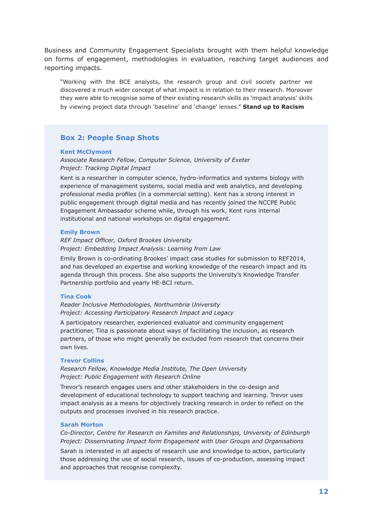Business and Community Engagement Specialists brought with them helpful knowledge on forms of engagement, methodologies in evaluation, reaching target audiences and reporting impacts.

"Working with the BCE analysts, the research group and civil society partner we discovered a much wider concept of what impact is in relation to their research. Moreover they were able to recognise some of their existing research skills as 'impact analysis' skills by viewing project data through 'baseline' and 'change' lenses." **Stand up to Racism**

## **Box 2: People Snap Shots**

#### **Kent McClymont**

*Associate Research Fellow, Computer Science, University of Exeter Project: Tracking Digital Impact*

Kent is a researcher in computer science, hydro-informatics and systems biology with experience of management systems, social media and web analytics, and developing professional media profiles (in a commercial setting). Kent has a strong interest in public engagement through digital media and has recently joined the NCCPE Public Engagement Ambassador scheme while, through his work, Kent runs internal institutional and national workshops on digital engagement.

#### **Emily Brown**

*REF Impact Officer, Oxford Brookes University Project: Embedding Impact Analysis: Learning from Law*

Emily Brown is co-ordinating Brookes' impact case studies for submission to REF2014, and has developed an expertise and working knowledge of the research impact and its agenda through this process. She also supports the University's Knowledge Transfer Partnership portfolio and yearly HE-BCI return.

#### **Tina Cook**

*Reader Inclusive Methodologies, Northumbria University Project: Accessing Participatory Research Impact and Legacy*

A participatory researcher, experienced evaluator and community engagement practitioner, Tina is passionate about ways of facilitating the inclusion, as research partners, of those who might generally be excluded from research that concerns their own lives.

#### **Trevor Collins**

*Research Fellow, Knowledge Media Institute, The Open University Project: Public Engagement with Research Online*

Trevor's research engages users and other stakeholders in the co-design and development of educational technology to support teaching and learning. Trevor uses impact analysis as a means for objectively tracking research in order to reflect on the outputs and processes involved in his research practice.

#### **Sarah Morton**

*Co-Director, Centre for Research on Families and Relationships, University of Edinburgh Project: Disseminating Impact form Engagement with User Groups and Organisations*

Sarah is interested in all aspects of research use and knowledge to action, particularly those addressing the use of social research, issues of co-production, assessing impact and approaches that recognise complexity.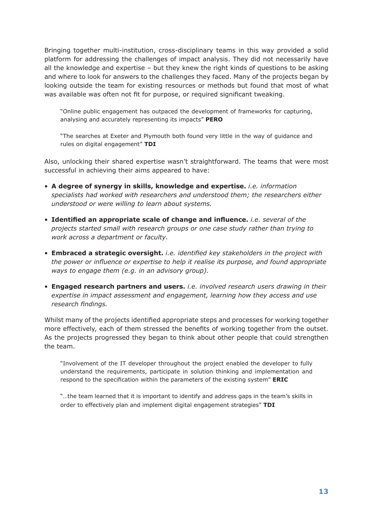Bringing together multi-institution, cross-disciplinary teams in this way provided a solid platform for addressing the challenges of impact analysis. They did not necessarily have all the knowledge and expertise – but they knew the right kinds of questions to be asking and where to look for answers to the challenges they faced. Many of the projects began by looking outside the team for existing resources or methods but found that most of what was available was often not fit for purpose, or required significant tweaking.

"Online public engagement has outpaced the development of frameworks for capturing, analysing and accurately representing its impacts" **PERO**

"The searches at Exeter and Plymouth both found very little in the way of guidance and rules on digital engagement" **TDI**

Also, unlocking their shared expertise wasn't straightforward. The teams that were most successful in achieving their aims appeared to have:

- **A degree of synergy in skills, knowledge and expertise.** *i.e. information specialists had worked with researchers and understood them; the researchers either understood or were willing to learn about systems.*
- **Identified an appropriate scale of change and influence.** *i.e. several of the projects started small with research groups or one case study rather than trying to work across a department or faculty.*
- **Embraced a strategic oversight.** *i.e. identified key stakeholders in the project with the power or influence or expertise to help it realise its purpose, and found appropriate ways to engage them (e.g. in an advisory group).*
- **Engaged research partners and users.** *i.e. involved research users drawing in their expertise in impact assessment and engagement, learning how they access and use research findings.*

Whilst many of the projects identified appropriate steps and processes for working together more effectively, each of them stressed the benefits of working together from the outset. As the projects progressed they began to think about other people that could strengthen the team.

"Involvement of the IT developer throughout the project enabled the developer to fully understand the requirements, participate in solution thinking and implementation and respond to the specification within the parameters of the existing system" **ERIC**

"…the team learned that it is important to identify and address gaps in the team's skills in order to effectively plan and implement digital engagement strategies" **TDI**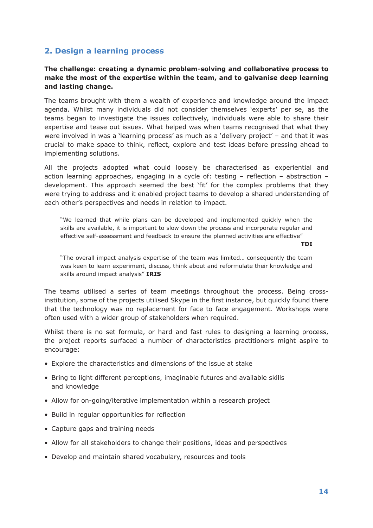## **2. Design a learning process**

## **The challenge: creating a dynamic problem-solving and collaborative process to make the most of the expertise within the team, and to galvanise deep learning and lasting change.**

The teams brought with them a wealth of experience and knowledge around the impact agenda. Whilst many individuals did not consider themselves 'experts' per se, as the teams began to investigate the issues collectively, individuals were able to share their expertise and tease out issues. What helped was when teams recognised that what they were involved in was a 'learning process' as much as a 'delivery project' – and that it was crucial to make space to think, reflect, explore and test ideas before pressing ahead to implementing solutions.

All the projects adopted what could loosely be characterised as experiential and action learning approaches, engaging in a cycle of: testing – reflection – abstraction – development. This approach seemed the best 'fit' for the complex problems that they were trying to address and it enabled project teams to develop a shared understanding of each other's perspectives and needs in relation to impact.

"We learned that while plans can be developed and implemented quickly when the skills are available, it is important to slow down the process and incorporate regular and effective self-assessment and feedback to ensure the planned activities are effective"

**TDI**

"The overall impact analysis expertise of the team was limited… consequently the team was keen to learn experiment, discuss, think about and reformulate their knowledge and skills around impact analysis" **IRIS**

The teams utilised a series of team meetings throughout the process. Being crossinstitution, some of the projects utilised Skype in the first instance, but quickly found there that the technology was no replacement for face to face engagement. Workshops were often used with a wider group of stakeholders when required.

Whilst there is no set formula, or hard and fast rules to designing a learning process, the project reports surfaced a number of characteristics practitioners might aspire to encourage:

- Explore the characteristics and dimensions of the issue at stake
- Bring to light different perceptions, imaginable futures and available skills and knowledge
- Allow for on-going/iterative implementation within a research project
- Build in regular opportunities for reflection
- Capture gaps and training needs
- Allow for all stakeholders to change their positions, ideas and perspectives
- Develop and maintain shared vocabulary, resources and tools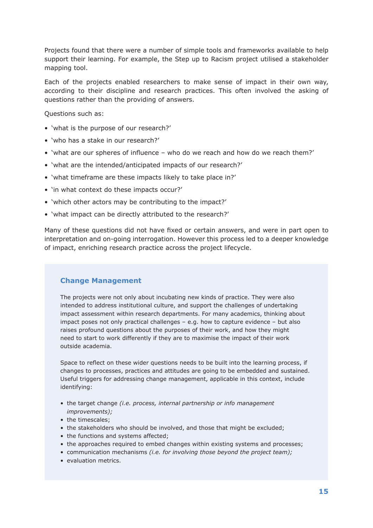Projects found that there were a number of simple tools and frameworks available to help support their learning. For example, the Step up to Racism project utilised a stakeholder mapping tool.

Each of the projects enabled researchers to make sense of impact in their own way, according to their discipline and research practices. This often involved the asking of questions rather than the providing of answers.

Questions such as:

- 'what is the purpose of our research?'
- 'who has a stake in our research?'
- 'what are our spheres of influence who do we reach and how do we reach them?'
- 'what are the intended/anticipated impacts of our research?'
- 'what timeframe are these impacts likely to take place in?'
- 'in what context do these impacts occur?'
- 'which other actors may be contributing to the impact?'
- 'what impact can be directly attributed to the research?'

Many of these questions did not have fixed or certain answers, and were in part open to interpretation and on-going interrogation. However this process led to a deeper knowledge of impact, enriching research practice across the project lifecycle.

## **Change Management**

The projects were not only about incubating new kinds of practice. They were also intended to address institutional culture, and support the challenges of undertaking impact assessment within research departments. For many academics, thinking about impact poses not only practical challenges – e.g. how to capture evidence – but also raises profound questions about the purposes of their work, and how they might need to start to work differently if they are to maximise the impact of their work outside academia.

Space to reflect on these wider questions needs to be built into the learning process, if changes to processes, practices and attitudes are going to be embedded and sustained. Useful triggers for addressing change management, applicable in this context, include identifying:

- the target change *(i.e. process, internal partnership or info management improvements);*
- the timescales;
- the stakeholders who should be involved, and those that might be excluded;
- the functions and systems affected;
- the approaches required to embed changes within existing systems and processes;
- communication mechanisms *(i.e. for involving those beyond the project team);*
- evaluation metrics.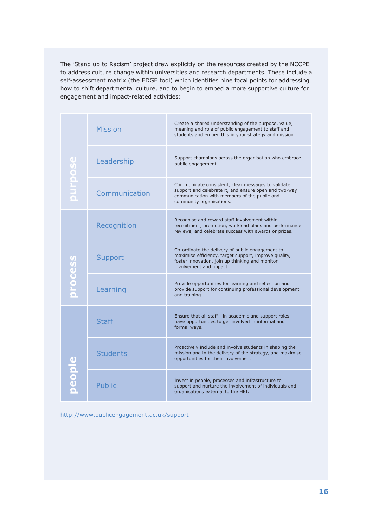The 'Stand up to Racism' project drew explicitly on the resources created by the NCCPE to address culture change within universities and research departments. These include a self-assessment matrix (the EDGE tool) which identifies nine focal points for addressing how to shift departmental culture, and to begin to embed a more supportive culture for engagement and impact-related activities:

| purpose<br>$\Box$ | <b>Mission</b>  | Create a shared understanding of the purpose, value,<br>meaning and role of public engagement to staff and<br>students and embed this in your strategy and mission.                      |
|-------------------|-----------------|------------------------------------------------------------------------------------------------------------------------------------------------------------------------------------------|
|                   | Leadership      | Support champions across the organisation who embrace<br>public engagement.                                                                                                              |
|                   | Communication   | Communicate consistent, clear messages to validate,<br>support and celebrate it, and ensure open and two-way<br>communication with members of the public and<br>community organisations. |
| process           | Recognition     | Recognise and reward staff involvement within<br>recruitment, promotion, workload plans and performance<br>reviews, and celebrate success with awards or prizes.                         |
|                   | Support         | Co-ordinate the delivery of public engagement to<br>maximise efficiency, target support, improve quality,<br>foster innovation, join up thinking and monitor<br>involvement and impact.  |
|                   | Learning        | Provide opportunities for learning and reflection and<br>provide support for continuing professional development<br>and training.                                                        |
| people            | <b>Staff</b>    | Ensure that all staff - in academic and support roles -<br>have opportunities to get involved in informal and<br>formal ways.                                                            |
|                   | <b>Students</b> | Proactively include and involve students in shaping the<br>mission and in the delivery of the strategy, and maximise<br>opportunities for their involvement.                             |
|                   | <b>Public</b>   | Invest in people, processes and infrastructure to<br>support and nurture the involvement of individuals and<br>organisations external to the HEI.                                        |

http://www.publicengagement.ac.uk/support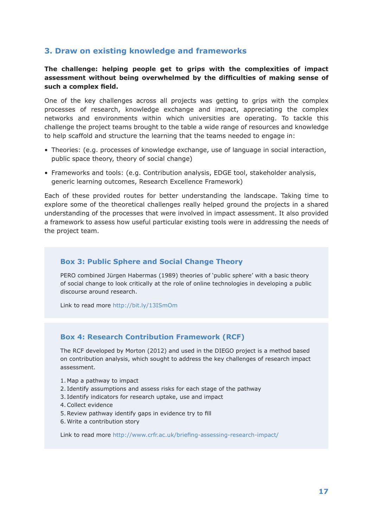## **3. Draw on existing knowledge and frameworks**

## **The challenge: helping people get to grips with the complexities of impact assessment without being overwhelmed by the difficulties of making sense of such a complex field.**

One of the key challenges across all projects was getting to grips with the complex processes of research, knowledge exchange and impact, appreciating the complex networks and environments within which universities are operating. To tackle this challenge the project teams brought to the table a wide range of resources and knowledge to help scaffold and structure the learning that the teams needed to engage in:

- Theories: (e.g. processes of knowledge exchange, use of language in social interaction, public space theory, theory of social change)
- Frameworks and tools: (e.g. Contribution analysis, EDGE tool, stakeholder analysis, generic learning outcomes, Research Excellence Framework)

Each of these provided routes for better understanding the landscape. Taking time to explore some of the theoretical challenges really helped ground the projects in a shared understanding of the processes that were involved in impact assessment. It also provided a framework to assess how useful particular existing tools were in addressing the needs of the project team.

## **Box 3: Public Sphere and Social Change Theory**

PERO combined Jürgen Habermas (1989) theories of 'public sphere' with a basic theory of social change to look critically at the role of online technologies in developing a public discourse around research.

Link to read more http://bit.ly/13ISmOm

## **Box 4: Research Contribution Framework (RCF)**

The RCF developed by Morton (2012) and used in the DIEGO project is a method based on contribution analysis, which sought to address the key challenges of research impact assessment.

- 1. Map a pathway to impact
- 2. Identify assumptions and assess risks for each stage of the pathway
- 3. Identify indicators for research uptake, use and impact
- 4.Collect evidence
- 5.Review pathway identify gaps in evidence try to fill
- 6. Write a contribution story

Link to read more http://www.crfr.ac.uk/briefing-assessing-research-impact/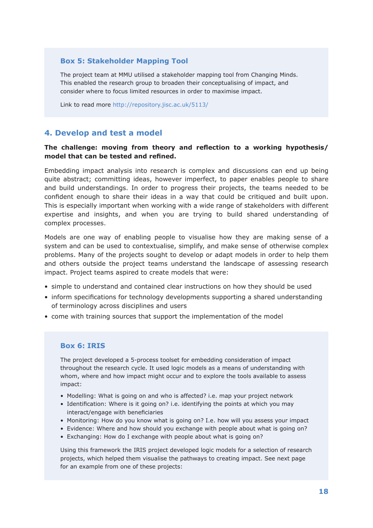## **Box 5: Stakeholder Mapping Tool**

The project team at MMU utilised a stakeholder mapping tool from Changing Minds. This enabled the research group to broaden their conceptualising of impact, and consider where to focus limited resources in order to maximise impact.

Link to read more http://repository.jisc.ac.uk/5113/

## **4. Develop and test a model**

## **The challenge: moving from theory and reflection to a working hypothesis/ model that can be tested and refined.**

Embedding impact analysis into research is complex and discussions can end up being quite abstract; committing ideas, however imperfect, to paper enables people to share and build understandings. In order to progress their projects, the teams needed to be confident enough to share their ideas in a way that could be critiqued and built upon. This is especially important when working with a wide range of stakeholders with different expertise and insights, and when you are trying to build shared understanding of complex processes.

Models are one way of enabling people to visualise how they are making sense of a system and can be used to contextualise, simplify, and make sense of otherwise complex problems. Many of the projects sought to develop or adapt models in order to help them and others outside the project teams understand the landscape of assessing research impact. Project teams aspired to create models that were:

- simple to understand and contained clear instructions on how they should be used
- inform specifications for technology developments supporting a shared understanding of terminology across disciplines and users
- come with training sources that support the implementation of the model

## **Box 6: IRIS**

The project developed a 5-process toolset for embedding consideration of impact throughout the research cycle. It used logic models as a means of understanding with whom, where and how impact might occur and to explore the tools available to assess impact:

- Modelling: What is going on and who is affected? i.e. map your project network
- Identification: Where is it going on? i.e. identifying the points at which you may interact/engage with beneficiaries
- Monitoring: How do you know what is going on? I.e. how will you assess your impact
- Evidence: Where and how should you exchange with people about what is going on?
- Exchanging: How do I exchange with people about what is going on?

Using this framework the IRIS project developed logic models for a selection of research projects, which helped them visualise the pathways to creating impact. See next page for an example from one of these projects: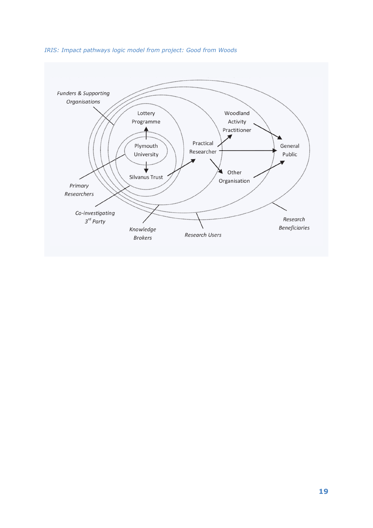

#### *IRIS: Impact pathways logic model from project: Good from Woods*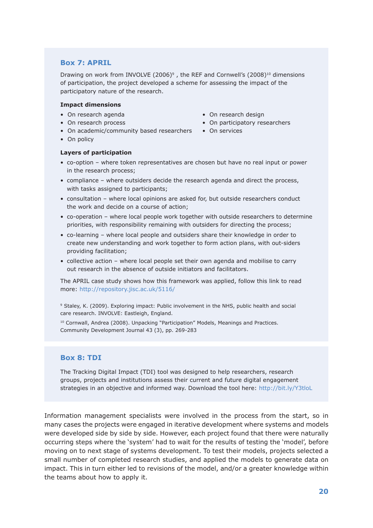### **Box 7: APRIL**

Drawing on work from INVOLVE (2006)<sup>9</sup>, the REF and Cornwell's (2008)<sup>10</sup> dimensions of participation, the project developed a scheme for assessing the impact of the participatory nature of the research.

#### **Impact dimensions**

- On research agenda On research design
- On research process On participatory researchers
- On academic/community based researchers On services
- On policy

#### **Layers of participation**

- co-option where token representatives are chosen but have no real input or power in the research process;
- compliance where outsiders decide the research agenda and direct the process, with tasks assigned to participants;
- consultation where local opinions are asked for, but outside researchers conduct the work and decide on a course of action;
- co-operation where local people work together with outside researchers to determine priorities, with responsibility remaining with outsiders for directing the process;
- co-learning where local people and outsiders share their knowledge in order to create new understanding and work together to form action plans, with out-siders providing facilitation;
- collective action where local people set their own agenda and mobilise to carry out research in the absence of outside initiators and facilitators.

The APRIL case study shows how this framework was applied, follow this link to read more: http://repository.jisc.ac.uk/5116/

9 Staley, K. (2009). Exploring impact: Public involvement in the NHS, public health and social care research. INVOLVE: Eastleigh, England.

<sup>10</sup> Cornwall, Andrea (2008). Unpacking "Participation" Models, Meanings and Practices. Community Development Journal 43 (3), pp. 269-283

## **Box 8: TDI**

The Tracking Digital Impact (TDI) tool was designed to help researchers, research groups, projects and institutions assess their current and future digital engagement strategies in an objective and informed way. Download the tool here: http://bit.ly/Y3tloL

Information management specialists were involved in the process from the start, so in many cases the projects were engaged in iterative development where systems and models were developed side by side by side. However, each project found that there were naturally occurring steps where the 'system' had to wait for the results of testing the 'model', before moving on to next stage of systems development. To test their models, projects selected a small number of completed research studies, and applied the models to generate data on impact. This in turn either led to revisions of the model, and/or a greater knowledge within the teams about how to apply it.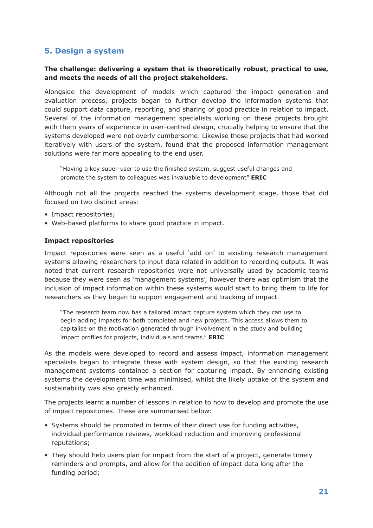## **5. Design a system**

## **The challenge: delivering a system that is theoretically robust, practical to use, and meets the needs of all the project stakeholders.**

Alongside the development of models which captured the impact generation and evaluation process, projects began to further develop the information systems that could support data capture, reporting, and sharing of good practice in relation to impact. Several of the information management specialists working on these projects brought with them years of experience in user-centred design, crucially helping to ensure that the systems developed were not overly cumbersome. Likewise those projects that had worked iteratively with users of the system, found that the proposed information management solutions were far more appealing to the end user.

"Having a key super-user to use the finished system, suggest useful changes and promote the system to colleagues was invaluable to development" **ERIC**

Although not all the projects reached the systems development stage, those that did focused on two distinct areas:

- Impact repositories;
- Web-based platforms to share good practice in impact.

#### **Impact repositories**

Impact repositories were seen as a useful 'add on' to existing research management systems allowing researchers to input data related in addition to recording outputs. It was noted that current research repositories were not universally used by academic teams because they were seen as 'management systems', however there was optimism that the inclusion of impact information within these systems would start to bring them to life for researchers as they began to support engagement and tracking of impact.

"The research team now has a tailored impact capture system which they can use to begin adding impacts for both completed and new projects. This access allows them to capitalise on the motivation generated through involvement in the study and building impact profiles for projects, individuals and teams." **ERIC**

As the models were developed to record and assess impact, information management specialists began to integrate these with system design, so that the existing research management systems contained a section for capturing impact. By enhancing existing systems the development time was minimised, whilst the likely uptake of the system and sustainability was also greatly enhanced.

The projects learnt a number of lessons in relation to how to develop and promote the use of impact repositories. These are summarised below:

- Systems should be promoted in terms of their direct use for funding activities, individual performance reviews, workload reduction and improving professional reputations;
- They should help users plan for impact from the start of a project, generate timely reminders and prompts, and allow for the addition of impact data long after the funding period;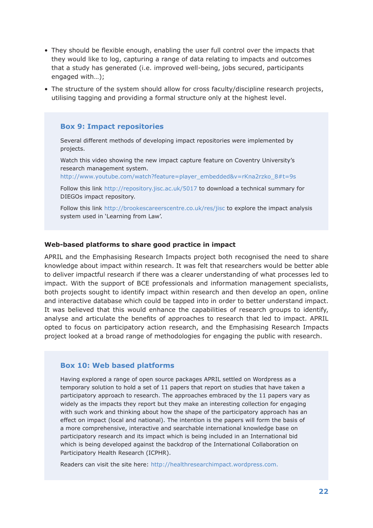- They should be flexible enough, enabling the user full control over the impacts that they would like to log, capturing a range of data relating to impacts and outcomes that a study has generated (i.e. improved well-being, jobs secured, participants engaged with…);
- The structure of the system should allow for cross faculty/discipline research projects, utilising tagging and providing a formal structure only at the highest level.

#### **Box 9: Impact repositories**

Several different methods of developing impact repositories were implemented by projects.

Watch this video showing the new impact capture feature on Coventry University's research management system.

http://www.youtube.com/watch?feature=player\_embedded&v=rKna2rzko\_8#t=9s

Follow this link http://repository.jisc.ac.uk/5017 to download a technical summary for DIEGOs impact repository.

Follow this link http://brookescareerscentre.co.uk/res/jisc to explore the impact analysis system used in 'Learning from Law'.

#### **Web-based platforms to share good practice in impact**

APRIL and the Emphasising Research Impacts project both recognised the need to share knowledge about impact within research. It was felt that researchers would be better able to deliver impactful research if there was a clearer understanding of what processes led to impact. With the support of BCE professionals and information management specialists, both projects sought to identify impact within research and then develop an open, online and interactive database which could be tapped into in order to better understand impact. It was believed that this would enhance the capabilities of research groups to identify, analyse and articulate the benefits of approaches to research that led to impact. APRIL opted to focus on participatory action research, and the Emphasising Research Impacts project looked at a broad range of methodologies for engaging the public with research.

#### **Box 10: Web based platforms**

Having explored a range of open source packages APRIL settled on Wordpress as a temporary solution to hold a set of 11 papers that report on studies that have taken a participatory approach to research. The approaches embraced by the 11 papers vary as widely as the impacts they report but they make an interesting collection for engaging with such work and thinking about how the shape of the participatory approach has an effect on impact (local and national). The intention is the papers will form the basis of a more comprehensive, interactive and searchable international knowledge base on participatory research and its impact which is being included in an International bid which is being developed against the backdrop of the International Collaboration on Participatory Health Research (ICPHR).

Readers can visit the site here: http://healthresearchimpact.wordpress.com.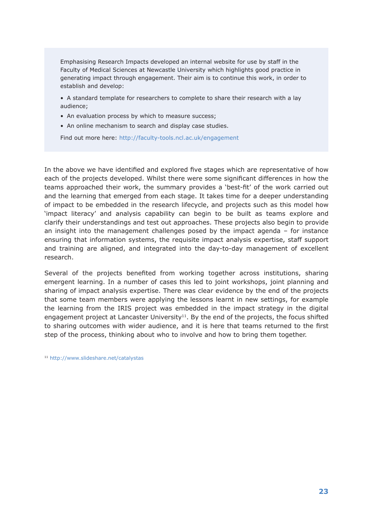Emphasising Research Impacts developed an internal website for use by staff in the Faculty of Medical Sciences at Newcastle University which highlights good practice in generating impact through engagement. Their aim is to continue this work, in order to establish and develop:

• A standard template for researchers to complete to share their research with a lay audience;

- An evaluation process by which to measure success;
- An online mechanism to search and display case studies.

Find out more here: http://faculty-tools.ncl.ac.uk/engagement

In the above we have identified and explored five stages which are representative of how each of the projects developed. Whilst there were some significant differences in how the teams approached their work, the summary provides a 'best-fit' of the work carried out and the learning that emerged from each stage. It takes time for a deeper understanding of impact to be embedded in the research lifecycle, and projects such as this model how 'impact literacy' and analysis capability can begin to be built as teams explore and clarify their understandings and test out approaches. These projects also begin to provide an insight into the management challenges posed by the impact agenda – for instance ensuring that information systems, the requisite impact analysis expertise, staff support and training are aligned, and integrated into the day-to-day management of excellent research.

Several of the projects benefited from working together across institutions, sharing emergent learning. In a number of cases this led to joint workshops, joint planning and sharing of impact analysis expertise. There was clear evidence by the end of the projects that some team members were applying the lessons learnt in new settings, for example the learning from the IRIS project was embedded in the impact strategy in the digital engagement project at Lancaster University $11$ . By the end of the projects, the focus shifted to sharing outcomes with wider audience, and it is here that teams returned to the first step of the process, thinking about who to involve and how to bring them together.

<sup>11</sup> http://www.slideshare.net/catalystas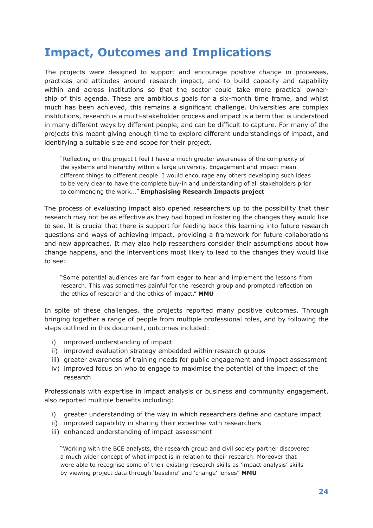## **Impact, Outcomes and Implications**

The projects were designed to support and encourage positive change in processes, practices and attitudes around research impact, and to build capacity and capability within and across institutions so that the sector could take more practical ownership of this agenda. These are ambitious goals for a six-month time frame, and whilst much has been achieved, this remains a significant challenge. Universities are complex institutions, research is a multi-stakeholder process and impact is a term that is understood in many different ways by different people, and can be difficult to capture. For many of the projects this meant giving enough time to explore different understandings of impact, and identifying a suitable size and scope for their project.

"Reflecting on the project I feel I have a much greater awareness of the complexity of the systems and hierarchy within a large university. Engagement and impact mean different things to different people. I would encourage any others developing such ideas to be very clear to have the complete buy-in and understanding of all stakeholders prior to commencing the work..." **Emphasising Research Impacts project**

The process of evaluating impact also opened researchers up to the possibility that their research may not be as effective as they had hoped in fostering the changes they would like to see. It is crucial that there is support for feeding back this learning into future research questions and ways of achieving impact, providing a framework for future collaborations and new approaches. It may also help researchers consider their assumptions about how change happens, and the interventions most likely to lead to the changes they would like to see:

"Some potential audiences are far from eager to hear and implement the lessons from research. This was sometimes painful for the research group and prompted reflection on the ethics of research and the ethics of impact." **MMU**

In spite of these challenges, the projects reported many positive outcomes. Through bringing together a range of people from multiple professional roles, and by following the steps outlined in this document, outcomes included:

- i) improved understanding of impact
- ii) improved evaluation strategy embedded within research groups
- iii) greater awareness of training needs for public engagement and impact assessment
- iv) improved focus on who to engage to maximise the potential of the impact of the research

Professionals with expertise in impact analysis or business and community engagement, also reported multiple benefits including:

- i) greater understanding of the way in which researchers define and capture impact
- ii) improved capability in sharing their expertise with researchers
- iii) enhanced understanding of impact assessment

"Working with the BCE analysts, the research group and civil society partner discovered a much wider concept of what impact is in relation to their research. Moreover that were able to recognise some of their existing research skills as 'impact analysis' skills by viewing project data through 'baseline' and 'change' lenses" **MMU**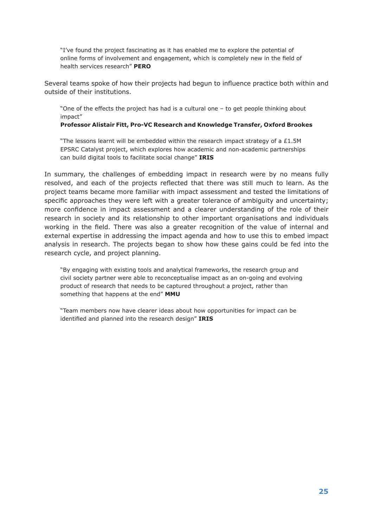"I've found the project fascinating as it has enabled me to explore the potential of online forms of involvement and engagement, which is completely new in the field of health services research" **PERO**

Several teams spoke of how their projects had begun to influence practice both within and outside of their institutions.

"One of the effects the project has had is a cultural one – to get people thinking about impact"

#### **Professor Alistair Fitt, Pro-VC Research and Knowledge Transfer, Oxford Brookes**

"The lessons learnt will be embedded within the research impact strategy of a  $£1.5M$ EPSRC Catalyst project, which explores how academic and non-academic partnerships can build digital tools to facilitate social change" **IRIS**

In summary, the challenges of embedding impact in research were by no means fully resolved, and each of the projects reflected that there was still much to learn. As the project teams became more familiar with impact assessment and tested the limitations of specific approaches they were left with a greater tolerance of ambiguity and uncertainty; more confidence in impact assessment and a clearer understanding of the role of their research in society and its relationship to other important organisations and individuals working in the field. There was also a greater recognition of the value of internal and external expertise in addressing the impact agenda and how to use this to embed impact analysis in research. The projects began to show how these gains could be fed into the research cycle, and project planning.

"By engaging with existing tools and analytical frameworks, the research group and civil society partner were able to reconceptualise impact as an on-going and evolving product of research that needs to be captured throughout a project, rather than something that happens at the end" **MMU**

"Team members now have clearer ideas about how opportunities for impact can be identified and planned into the research design" **IRIS**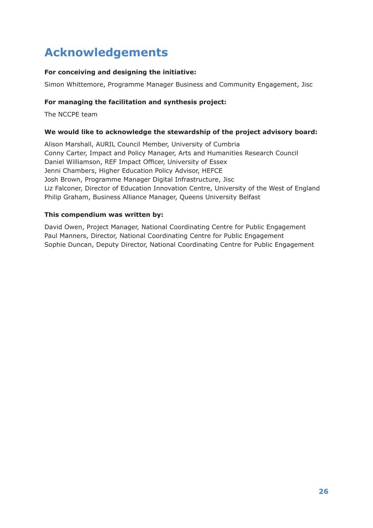## **Acknowledgements**

## **For conceiving and designing the initiative:**

Simon Whittemore, Programme Manager Business and Community Engagement, Jisc

## **For managing the facilitation and synthesis project:**

The NCCPE team

## **We would like to acknowledge the stewardship of the project advisory board:**

Alison Marshall, AURIL Council Member, University of Cumbria Conny Carter, Impact and Policy Manager, Arts and Humanities Research Council Daniel Williamson, REF Impact Officer, University of Essex Jenni Chambers, Higher Education Policy Advisor, HEFCE Josh Brown, Programme Manager Digital Infrastructure, Jisc Liz Falconer, Director of Education Innovation Centre, University of the West of England Philip Graham, Business Alliance Manager, Queens University Belfast

## **This compendium was written by:**

David Owen, Project Manager, National Coordinating Centre for Public Engagement Paul Manners, Director, National Coordinating Centre for Public Engagement Sophie Duncan, Deputy Director, National Coordinating Centre for Public Engagement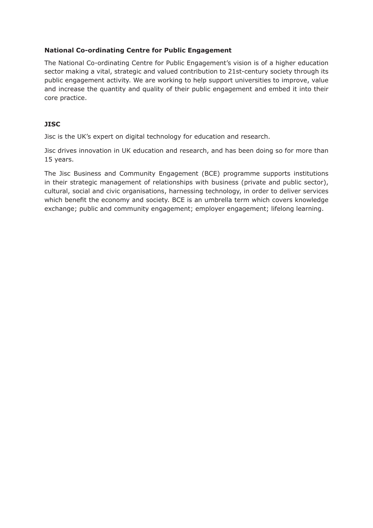## **National Co-ordinating Centre for Public Engagement**

The National Co-ordinating Centre for Public Engagement's vision is of a higher education sector making a vital, strategic and valued contribution to 21st-century society through its public engagement activity. We are working to help support universities to improve, value and increase the quantity and quality of their public engagement and embed it into their core practice.

## **JISC**

Jisc is the UK's expert on digital technology for education and research.

Jisc drives innovation in UK education and research, and has been doing so for more than 15 years.

The Jisc Business and Community Engagement (BCE) programme supports institutions in their strategic management of relationships with business (private and public sector), cultural, social and civic organisations, harnessing technology, in order to deliver services which benefit the economy and society. BCE is an umbrella term which covers knowledge exchange; public and community engagement; employer engagement; lifelong learning.